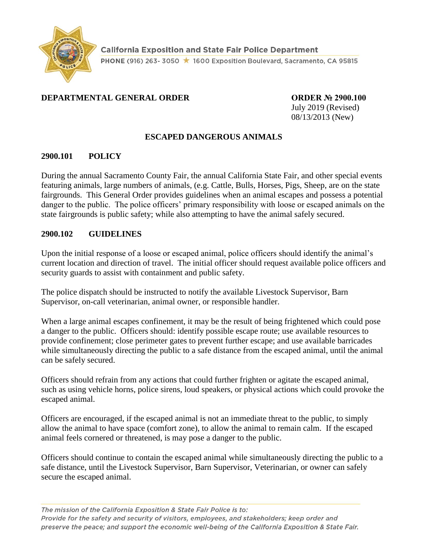

### **DEPARTMENTAL GENERAL ORDER CORDER ORDER Nº 2900.100**

July 2019 (Revised) 08/13/2013 (New)

### **ESCAPED DANGEROUS ANIMALS**

#### **2900.101 POLICY**

During the annual Sacramento County Fair, the annual California State Fair, and other special events featuring animals, large numbers of animals, (e.g. Cattle, Bulls, Horses, Pigs, Sheep, are on the state fairgrounds. This General Order provides guidelines when an animal escapes and possess a potential danger to the public. The police officers' primary responsibility with loose or escaped animals on the state fairgrounds is public safety; while also attempting to have the animal safely secured.

#### **2900.102 GUIDELINES**

Upon the initial response of a loose or escaped animal, police officers should identify the animal's current location and direction of travel. The initial officer should request available police officers and security guards to assist with containment and public safety.

The police dispatch should be instructed to notify the available Livestock Supervisor, Barn Supervisor, on-call veterinarian, animal owner, or responsible handler.

When a large animal escapes confinement, it may be the result of being frightened which could pose a danger to the public. Officers should: identify possible escape route; use available resources to provide confinement; close perimeter gates to prevent further escape; and use available barricades while simultaneously directing the public to a safe distance from the escaped animal, until the animal can be safely secured.

Officers should refrain from any actions that could further frighten or agitate the escaped animal, such as using vehicle horns, police sirens, loud speakers, or physical actions which could provoke the escaped animal.

Officers are encouraged, if the escaped animal is not an immediate threat to the public, to simply allow the animal to have space (comfort zone), to allow the animal to remain calm. If the escaped animal feels cornered or threatened, is may pose a danger to the public.

Officers should continue to contain the escaped animal while simultaneously directing the public to a safe distance, until the Livestock Supervisor, Barn Supervisor, Veterinarian, or owner can safely secure the escaped animal.

The mission of the California Exposition & State Fair Police is to: Provide for the safety and security of visitors, employees, and stakeholders; keep order and preserve the peace; and support the economic well-being of the California Exposition & State Fair.